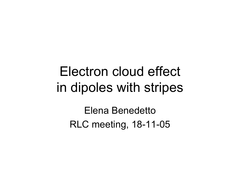Electron cloud effect in dipoles with stripes Elena Benedetto

RLC meeting, 18-11-05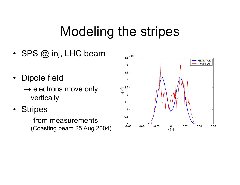# Modeling the stripes

- SPS @ inj, LHC beam
- $\bullet$ Dipole field  $\rightarrow$  electrons move only vertically
- $\bullet$ **Stripes** 
	- $\rightarrow$  from measurements (Coasting beam 25 Aug.2004)

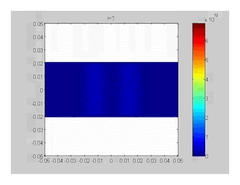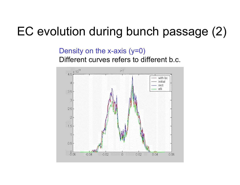#### EC evolution during bunch passage (2)

#### Density on the x-axis (y=0) Different curves refers to different b.c.

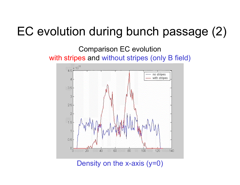#### EC evolution during bunch passage (2)

Comparison EC evolution with stripes and without stripes (only B field)



Density on the  $x$ -axis  $(y=0)$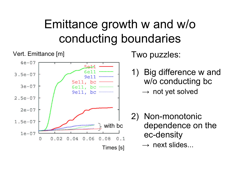#### Emittance growth w and w/o conducting boundaries

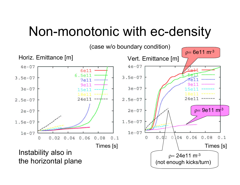## Non-monotonic with ec-density

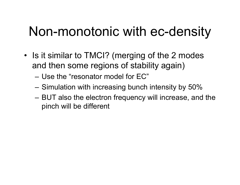# Non-monotonic with ec-density

- Is it similar to TMCI? (merging of the 2 modes and then some regions of stability again)
	- –Use the "resonator model for EC"
	- Simulation with increasing bunch intensity by 50%
	- BUT also the electron frequency will increase, and the pinch will be different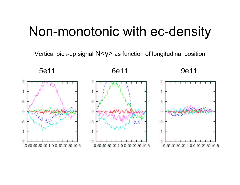### Non-monotonic with ec-density

Vertical pick-up signal N<y> as function of longitudinal position

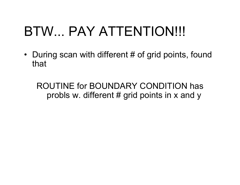# BTW... PAY ATTENTION!!!

• During scan with different # of grid points, found that

ROUTINE for BOUNDARY CONDITION has probls w. different # grid points in x and y